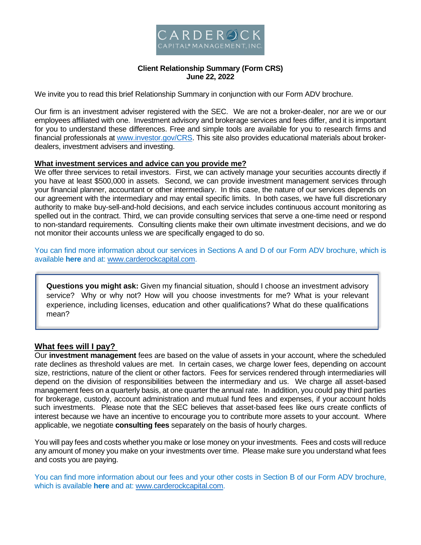

# **Client Relationship Summary (Form CRS) June 22, 2022**

We invite you to read this brief Relationship Summary in conjunction with our Form ADV brochure.

Our firm is an investment adviser registered with the SEC. We are not a broker-dealer, nor are we or our employees affiliated with one. Investment advisory and brokerage services and fees differ, and it is important for you to understand these differences. Free and simple tools are available for you to research firms and financial professionals at www.investor.gov/CRS. This site also provides educational materials about brokerdealers, investment advisers and investing.

## **What investment services and advice can you provide me?**

We offer three services to retail investors. First, we can actively manage your securities accounts directly if you have at least \$500,000 in assets. Second, we can provide investment management services through your financial planner, accountant or other intermediary. In this case, the nature of our services depends on our agreement with the intermediary and may entail specific limits. In both cases, we have full discretionary authority to make buy-sell-and-hold decisions, and each service includes continuous account monitoring as spelled out in the contract. Third, we can provide consulting services that serve a one-time need or respond to non-standard requirements. Consulting clients make their own ultimate investment decisions, and we do not monitor their accounts unless we are specifically engaged to do so.

You can find more information about our services in Sections A and D of our Form ADV brochure, which is available **here** and at: www.carderockcapital.com.

**Questions you might ask:** Given my financial situation, should I choose an investment advisory service? Why or why not? How will you choose investments for me? What is your relevant experience, including licenses, education and other qualifications? What do these qualifications mean?

## **What fees will I pay?**

Our **investment management** fees are based on the value of assets in your account, where the scheduled rate declines as threshold values are met. In certain cases, we charge lower fees, depending on account size, restrictions, nature of the client or other factors. Fees for services rendered through intermediaries will depend on the division of responsibilities between the intermediary and us. We charge all asset-based management fees on a quarterly basis, at one quarter the annual rate. In addition, you could pay third parties for brokerage, custody, account administration and mutual fund fees and expenses, if your account holds such investments. Please note that the SEC believes that asset-based fees like ours create conflicts of interest because we have an incentive to encourage you to contribute more assets to your account. Where applicable, we negotiate **consulting fees** separately on the basis of hourly charges.

You will pay fees and costs whether you make or lose money on your investments. Fees and costs will reduce any amount of money you make on your investments over time. Please make sure you understand what fees and costs you are paying.

You can find more information about our fees and your other costs in Section B of our Form ADV brochure, which is available **here** and at: www.carderockcapital.com.